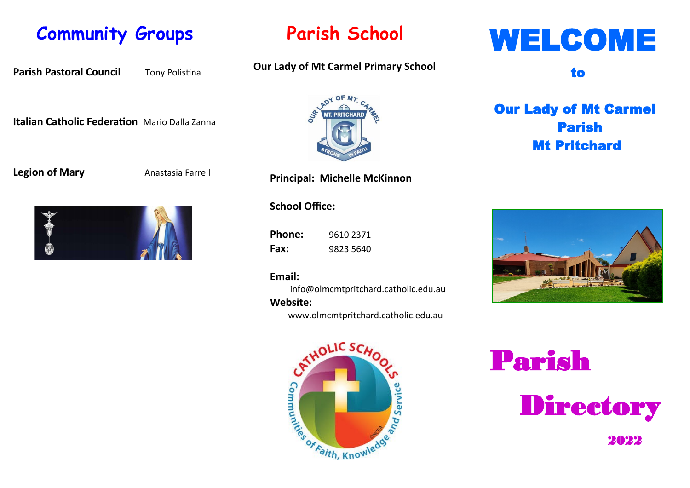### **Community Groups**

**Parish Pastoral Council** Tony Polistina

### **Italian Catholic Federation** Mario Dalla Zanna

### **Legion of Mary Anastasia Farrell**



### **Parish School**

### **Our Lady of Mt Carmel Primary School**



**Principal: Michelle McKinnon** 

**School Office:**

**Phone:** 9610 2371 **Fax:** 9823 5640

#### **Email:**

info@olmcmtpritchard.catholic.edu.au

### **Website:**

www.olmcmtpritchard.catholic.edu.au



# WELCOME

to

### Our Lady of Mt Carmel Parish Mt Pritchard



Parish Directory **2022**